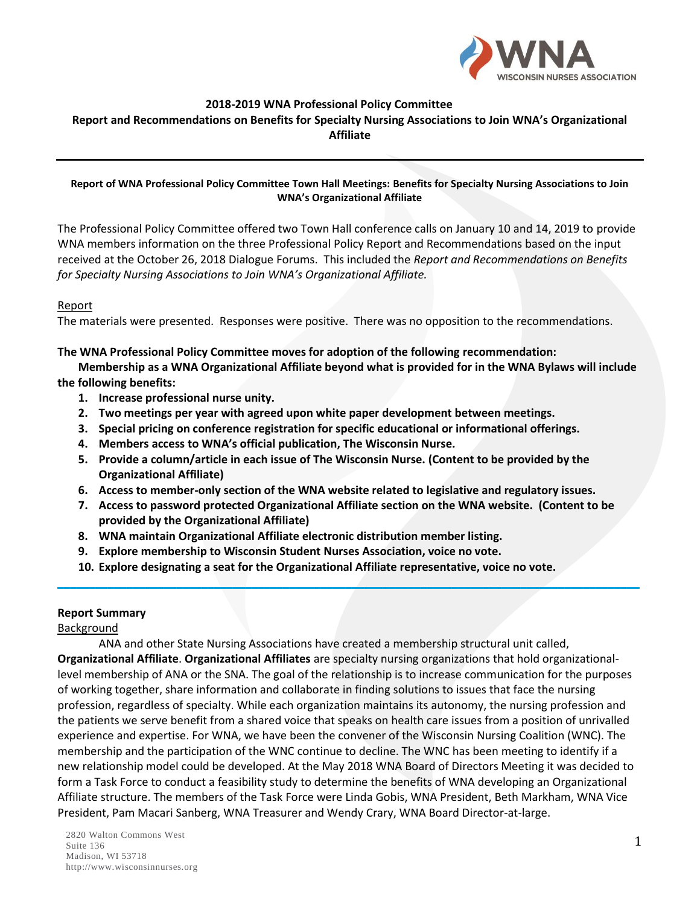

### **2018-2019 WNA Professional Policy Committee**

#### **Report and Recommendations on Benefits for Specialty Nursing Associations to Join WNA's Organizational Affiliate**

#### **Report of WNA Professional Policy Committee Town Hall Meetings: Benefits for Specialty Nursing Associations to Join WNA's Organizational Affiliate**

The Professional Policy Committee offered two Town Hall conference calls on January 10 and 14, 2019 to provide WNA members information on the three Professional Policy Report and Recommendations based on the input received at the October 26, 2018 Dialogue Forums. This included the *Report and Recommendations on Benefits for Specialty Nursing Associations to Join WNA's Organizational Affiliate.*

### Report

The materials were presented. Responses were positive. There was no opposition to the recommendations.

#### **The WNA Professional Policy Committee moves for adoption of the following recommendation:**

**Membership as a WNA Organizational Affiliate beyond what is provided for in the WNA Bylaws will include the following benefits:**

- **1. Increase professional nurse unity.**
- **2. Two meetings per year with agreed upon white paper development between meetings.**
- **3. Special pricing on conference registration for specific educational or informational offerings.**
- **4. Members access to WNA's official publication, The Wisconsin Nurse.**
- **5. Provide a column/article in each issue of The Wisconsin Nurse. (Content to be provided by the Organizational Affiliate)**
- **6. Access to member-only section of the WNA website related to legislative and regulatory issues.**
- **7. Access to password protected Organizational Affiliate section on the WNA website. (Content to be provided by the Organizational Affiliate)**

\_\_\_\_\_\_\_\_\_\_\_\_\_\_\_\_\_\_\_\_\_\_\_\_\_\_\_\_\_\_\_\_\_\_\_\_\_\_\_\_\_\_\_\_\_\_\_\_\_\_\_\_\_\_\_\_\_\_\_\_\_\_\_\_\_\_\_\_\_\_\_\_\_\_\_\_\_\_\_\_\_\_\_\_\_\_\_\_\_\_\_\_\_

- **8. WNA maintain Organizational Affiliate electronic distribution member listing.**
- **9. Explore membership to Wisconsin Student Nurses Association, voice no vote.**
- **10. Explore designating a seat for the Organizational Affiliate representative, voice no vote.**

#### **Report Summary**

#### Background

ANA and other State Nursing Associations have created a membership structural unit called, **Organizational Affiliate**. **Organizational Affiliates** are specialty nursing organizations that hold organizationallevel membership of ANA or the SNA. The goal of the relationship is to increase communication for the purposes of working together, share information and collaborate in finding solutions to issues that face the nursing profession, regardless of specialty. While each organization maintains its autonomy, the nursing profession and the patients we serve benefit from a shared voice that speaks on health care issues from a position of unrivalled experience and expertise. For WNA, we have been the convener of the Wisconsin Nursing Coalition (WNC). The membership and the participation of the WNC continue to decline. The WNC has been meeting to identify if a new relationship model could be developed. At the May 2018 WNA Board of Directors Meeting it was decided to form a Task Force to conduct a feasibility study to determine the benefits of WNA developing an Organizational Affiliate structure. The members of the Task Force were Linda Gobis, WNA President, Beth Markham, WNA Vice President, Pam Macari Sanberg, WNA Treasurer and Wendy Crary, WNA Board Director-at-large.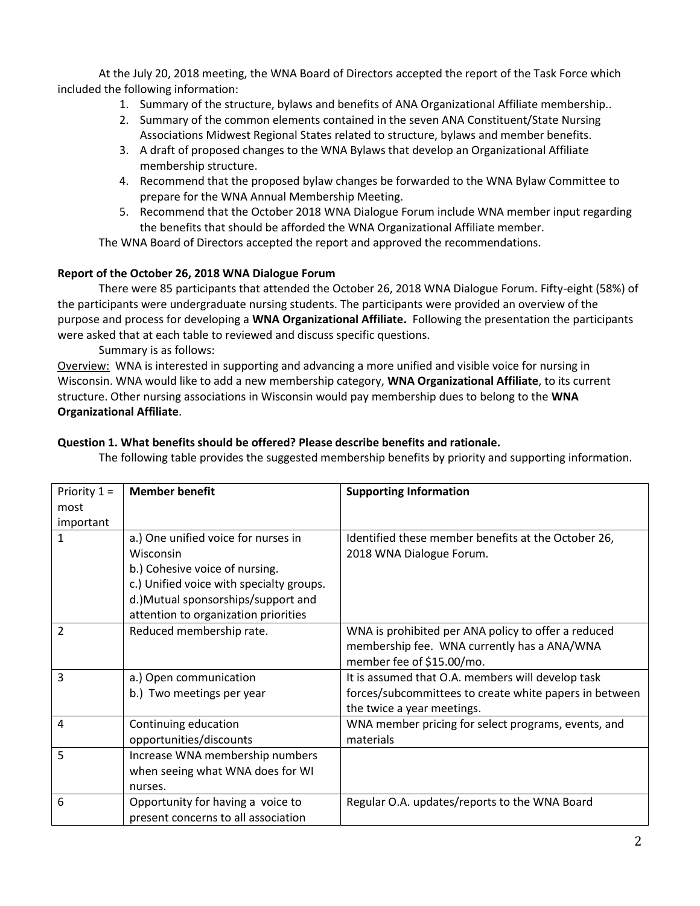At the July 20, 2018 meeting, the WNA Board of Directors accepted the report of the Task Force which included the following information:

- 1. Summary of the structure, bylaws and benefits of ANA Organizational Affiliate membership..
- 2. Summary of the common elements contained in the seven ANA Constituent/State Nursing Associations Midwest Regional States related to structure, bylaws and member benefits.
- 3. A draft of proposed changes to the WNA Bylaws that develop an Organizational Affiliate membership structure.
- 4. Recommend that the proposed bylaw changes be forwarded to the WNA Bylaw Committee to prepare for the WNA Annual Membership Meeting.
- 5. Recommend that the October 2018 WNA Dialogue Forum include WNA member input regarding the benefits that should be afforded the WNA Organizational Affiliate member.

The WNA Board of Directors accepted the report and approved the recommendations.

# **Report of the October 26, 2018 WNA Dialogue Forum**

There were 85 participants that attended the October 26, 2018 WNA Dialogue Forum. Fifty-eight (58%) of the participants were undergraduate nursing students. The participants were provided an overview of the purpose and process for developing a **WNA Organizational Affiliate.** Following the presentation the participants were asked that at each table to reviewed and discuss specific questions.

Summary is as follows:

Overview: WNA is interested in supporting and advancing a more unified and visible voice for nursing in Wisconsin. WNA would like to add a new membership category, **WNA Organizational Affiliate**, to its current structure. Other nursing associations in Wisconsin would pay membership dues to belong to the **WNA Organizational Affiliate**.

## **Question 1. What benefits should be offered? Please describe benefits and rationale.**

The following table provides the suggested membership benefits by priority and supporting information.

| Priority $1 =$ | <b>Member benefit</b>                    | <b>Supporting Information</b>                          |
|----------------|------------------------------------------|--------------------------------------------------------|
| most           |                                          |                                                        |
| important      |                                          |                                                        |
| $\mathbf{1}$   | a.) One unified voice for nurses in      | Identified these member benefits at the October 26,    |
|                | Wisconsin                                | 2018 WNA Dialogue Forum.                               |
|                | b.) Cohesive voice of nursing.           |                                                        |
|                | c.) Unified voice with specialty groups. |                                                        |
|                | d.) Mutual sponsorships/support and      |                                                        |
|                | attention to organization priorities     |                                                        |
| 2              | Reduced membership rate.                 | WNA is prohibited per ANA policy to offer a reduced    |
|                |                                          | membership fee. WNA currently has a ANA/WNA            |
|                |                                          | member fee of \$15.00/mo.                              |
| 3              | a.) Open communication                   | It is assumed that O.A. members will develop task      |
|                | b.) Two meetings per year                | forces/subcommittees to create white papers in between |
|                |                                          | the twice a year meetings.                             |
| 4              | Continuing education                     | WNA member pricing for select programs, events, and    |
|                | opportunities/discounts                  | materials                                              |
| 5              | Increase WNA membership numbers          |                                                        |
|                | when seeing what WNA does for WI         |                                                        |
|                | nurses.                                  |                                                        |
| 6              | Opportunity for having a voice to        | Regular O.A. updates/reports to the WNA Board          |
|                | present concerns to all association      |                                                        |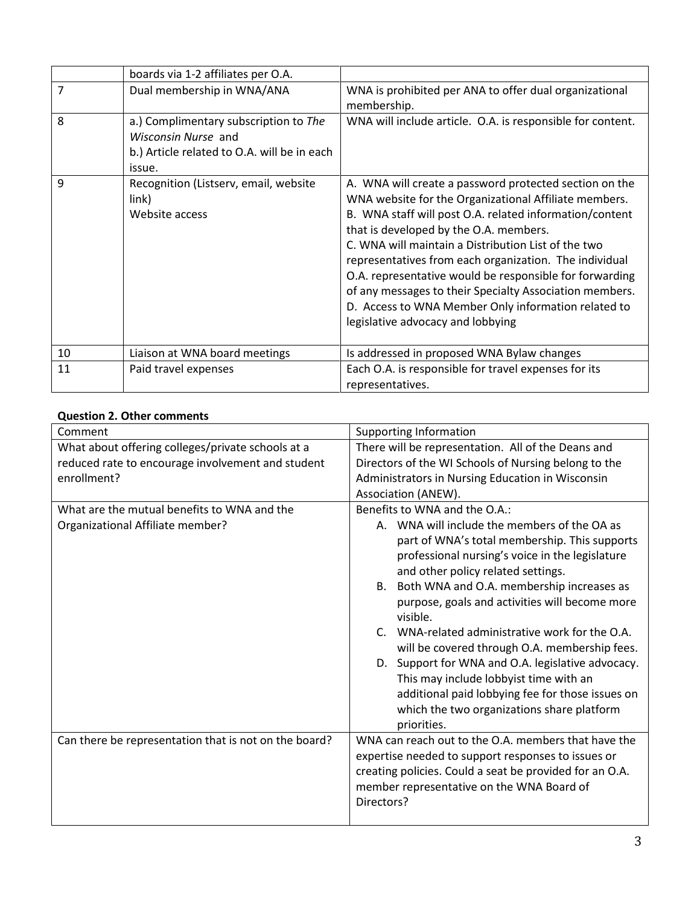|                | boards via 1-2 affiliates per O.A.                                                                                    |                                                                                                                                                                                                                                                                                                                                                                                                                                                                                                                                                         |
|----------------|-----------------------------------------------------------------------------------------------------------------------|---------------------------------------------------------------------------------------------------------------------------------------------------------------------------------------------------------------------------------------------------------------------------------------------------------------------------------------------------------------------------------------------------------------------------------------------------------------------------------------------------------------------------------------------------------|
| $\overline{7}$ | Dual membership in WNA/ANA                                                                                            | WNA is prohibited per ANA to offer dual organizational<br>membership.                                                                                                                                                                                                                                                                                                                                                                                                                                                                                   |
| 8              | a.) Complimentary subscription to The<br>Wisconsin Nurse and<br>b.) Article related to O.A. will be in each<br>issue. | WNA will include article. O.A. is responsible for content.                                                                                                                                                                                                                                                                                                                                                                                                                                                                                              |
| 9              | Recognition (Listserv, email, website<br>link)<br>Website access                                                      | A. WNA will create a password protected section on the<br>WNA website for the Organizational Affiliate members.<br>B. WNA staff will post O.A. related information/content<br>that is developed by the O.A. members.<br>C. WNA will maintain a Distribution List of the two<br>representatives from each organization. The individual<br>O.A. representative would be responsible for forwarding<br>of any messages to their Specialty Association members.<br>D. Access to WNA Member Only information related to<br>legislative advocacy and lobbying |
| 10             | Liaison at WNA board meetings                                                                                         | Is addressed in proposed WNA Bylaw changes                                                                                                                                                                                                                                                                                                                                                                                                                                                                                                              |
| 11             | Paid travel expenses                                                                                                  | Each O.A. is responsible for travel expenses for its<br>representatives.                                                                                                                                                                                                                                                                                                                                                                                                                                                                                |

## **Question 2. Other comments**

| Comment                                                                                                               | Supporting Information                                                                                                                                                                                                                                                                                                                                                                                                                                                                                                                                                                                                                                    |
|-----------------------------------------------------------------------------------------------------------------------|-----------------------------------------------------------------------------------------------------------------------------------------------------------------------------------------------------------------------------------------------------------------------------------------------------------------------------------------------------------------------------------------------------------------------------------------------------------------------------------------------------------------------------------------------------------------------------------------------------------------------------------------------------------|
| What about offering colleges/private schools at a<br>reduced rate to encourage involvement and student<br>enrollment? | There will be representation. All of the Deans and<br>Directors of the WI Schools of Nursing belong to the<br>Administrators in Nursing Education in Wisconsin<br>Association (ANEW).                                                                                                                                                                                                                                                                                                                                                                                                                                                                     |
| What are the mutual benefits to WNA and the<br>Organizational Affiliate member?                                       | Benefits to WNA and the O.A.:<br>A. WNA will include the members of the OA as<br>part of WNA's total membership. This supports<br>professional nursing's voice in the legislature<br>and other policy related settings.<br>B. Both WNA and O.A. membership increases as<br>purpose, goals and activities will become more<br>visible.<br>C. WNA-related administrative work for the O.A.<br>will be covered through O.A. membership fees.<br>D. Support for WNA and O.A. legislative advocacy.<br>This may include lobbyist time with an<br>additional paid lobbying fee for those issues on<br>which the two organizations share platform<br>priorities. |
| Can there be representation that is not on the board?                                                                 | WNA can reach out to the O.A. members that have the<br>expertise needed to support responses to issues or<br>creating policies. Could a seat be provided for an O.A.<br>member representative on the WNA Board of<br>Directors?                                                                                                                                                                                                                                                                                                                                                                                                                           |